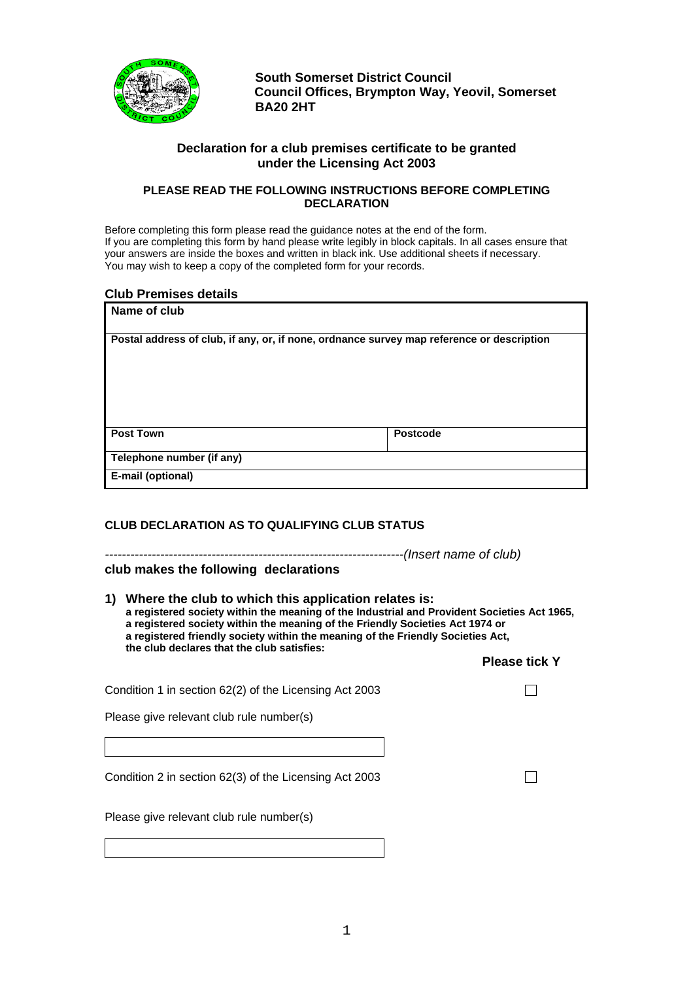

**South Somerset District Council Council Offices, Brympton Way, Yeovil, Somerset BA20 2HT** 

# **Declaration for a club premises certificate to be granted under the Licensing Act 2003**

## **PLEASE READ THE FOLLOWING INSTRUCTIONS BEFORE COMPLETING DECLARATION**

Before completing this form please read the guidance notes at the end of the form. If you are completing this form by hand please write legibly in block capitals. In all cases ensure that your answers are inside the boxes and written in black ink. Use additional sheets if necessary. You may wish to keep a copy of the completed form for your records.

## **Club Premises details**

| Name of club                                                                              |                 |
|-------------------------------------------------------------------------------------------|-----------------|
| Postal address of club, if any, or, if none, ordnance survey map reference or description |                 |
| <b>Post Town</b>                                                                          | <b>Postcode</b> |
| Telephone number (if any)                                                                 |                 |
| E-mail (optional)                                                                         |                 |

## **CLUB DECLARATION AS TO QUALIFYING CLUB STATUS**

*----------------------------------------------------------------------(Insert name of club)*  **club makes the following declarations** 

#### **1) Where the club to which this application relates is: a registered society within the meaning of the Industrial and Provident Societies Act 1965, a registered society within the meaning of the Friendly Societies Act 1974 or a registered friendly society within the meaning of the Friendly Societies Act, the club declares that the club satisfies:**

# **Please tick Y**

П

 $\Box$ 

Condition 1 in section 62(2) of the Licensing Act 2003

Please give relevant club rule number(s)

Condition 2 in section 62(3) of the Licensing Act 2003

Please give relevant club rule number(s)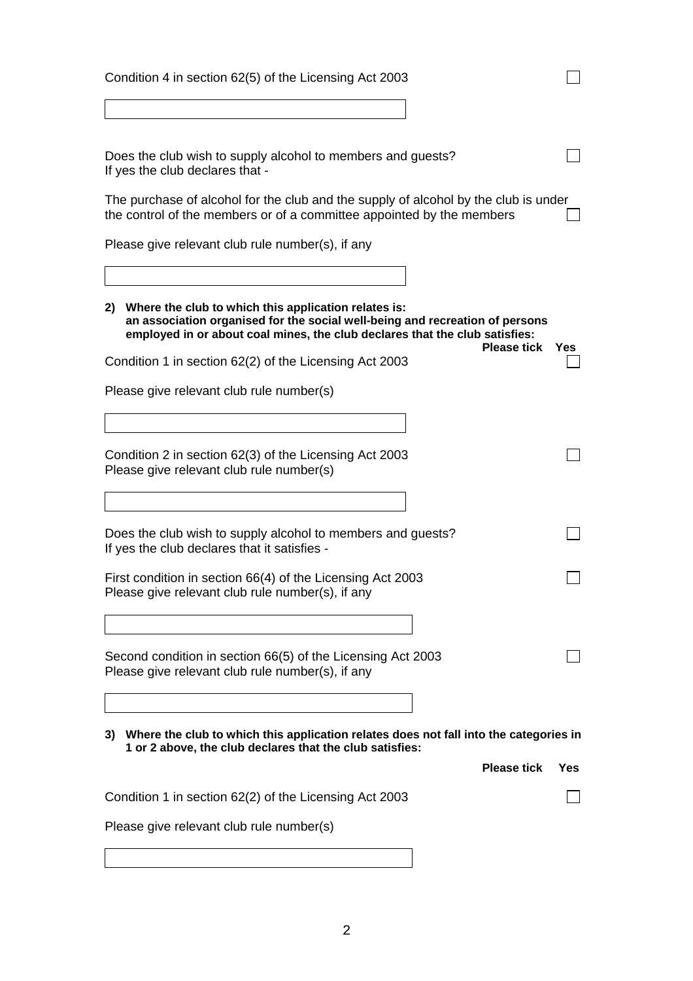| Condition 4 in section 62(5) of the Licensing Act 2003                                                                                                                                                                    |     |  |  |
|---------------------------------------------------------------------------------------------------------------------------------------------------------------------------------------------------------------------------|-----|--|--|
|                                                                                                                                                                                                                           |     |  |  |
| Does the club wish to supply alcohol to members and guests?<br>If yes the club declares that -                                                                                                                            |     |  |  |
| The purchase of alcohol for the club and the supply of alcohol by the club is under<br>the control of the members or of a committee appointed by the members                                                              |     |  |  |
| Please give relevant club rule number(s), if any                                                                                                                                                                          |     |  |  |
|                                                                                                                                                                                                                           |     |  |  |
| Where the club to which this application relates is:<br>2)<br>an association organised for the social well-being and recreation of persons<br>employed in or about coal mines, the club declares that the club satisfies: |     |  |  |
| <b>Please tick</b><br>Condition 1 in section 62(2) of the Licensing Act 2003                                                                                                                                              | Yes |  |  |
| Please give relevant club rule number(s)                                                                                                                                                                                  |     |  |  |
|                                                                                                                                                                                                                           |     |  |  |
| Condition 2 in section 62(3) of the Licensing Act 2003<br>Please give relevant club rule number(s)                                                                                                                        |     |  |  |
|                                                                                                                                                                                                                           |     |  |  |
| Does the club wish to supply alcohol to members and guests?<br>If yes the club declares that it satisfies -                                                                                                               |     |  |  |
| First condition in section 66(4) of the Licensing Act 2003<br>Please give relevant club rule number(s), if any                                                                                                            |     |  |  |
|                                                                                                                                                                                                                           |     |  |  |
| Second condition in section 66(5) of the Licensing Act 2003<br>Please give relevant club rule number(s), if any                                                                                                           |     |  |  |
|                                                                                                                                                                                                                           |     |  |  |
| 3) Where the club to which this application relates does not fall into the categories in<br>1 or 2 above, the club declares that the club satisfies:                                                                      |     |  |  |
| <b>Please tick</b>                                                                                                                                                                                                        | Yes |  |  |
| Condition 1 in section 62(2) of the Licensing Act 2003                                                                                                                                                                    |     |  |  |
| Please give relevant club rule number(s)                                                                                                                                                                                  |     |  |  |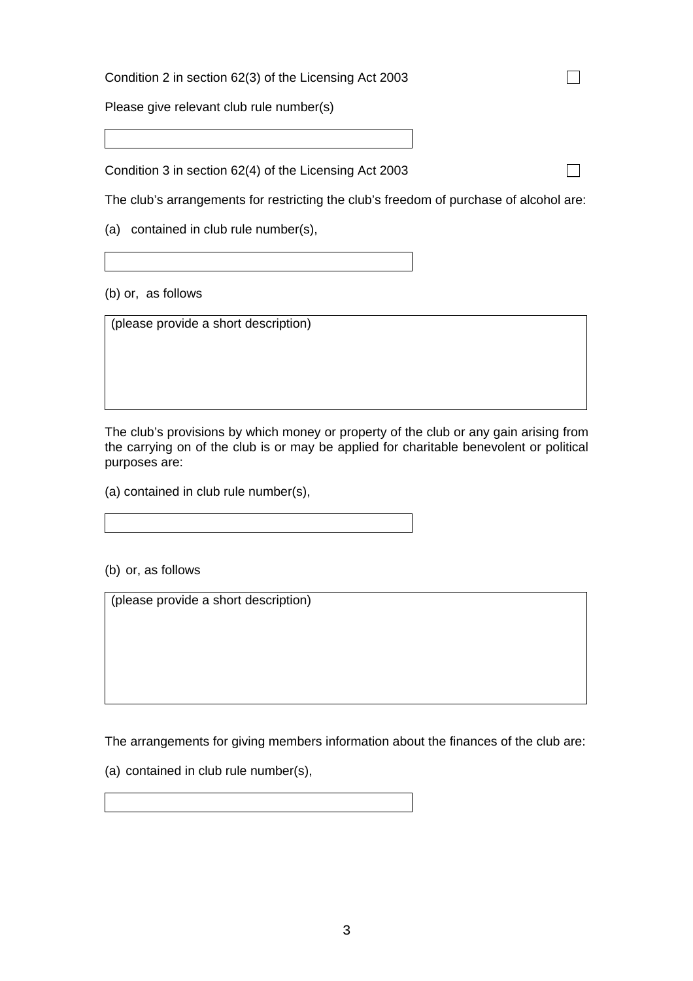Condition 2 in section 62(3) of the Licensing Act 2003

Please give relevant club rule number(s)

Condition 3 in section 62(4) of the Licensing Act 2003

The club's arrangements for restricting the club's freedom of purchase of alcohol are:

 $\Box$ 

 $\Box$ 

(a) contained in club rule number(s),

(b) or, as follows

(please provide a short description)

The club's provisions by which money or property of the club or any gain arising from the carrying on of the club is or may be applied for charitable benevolent or political purposes are:

(a) contained in club rule number(s),

(b) or, as follows

(please provide a short description)

The arrangements for giving members information about the finances of the club are:

(a) contained in club rule number(s),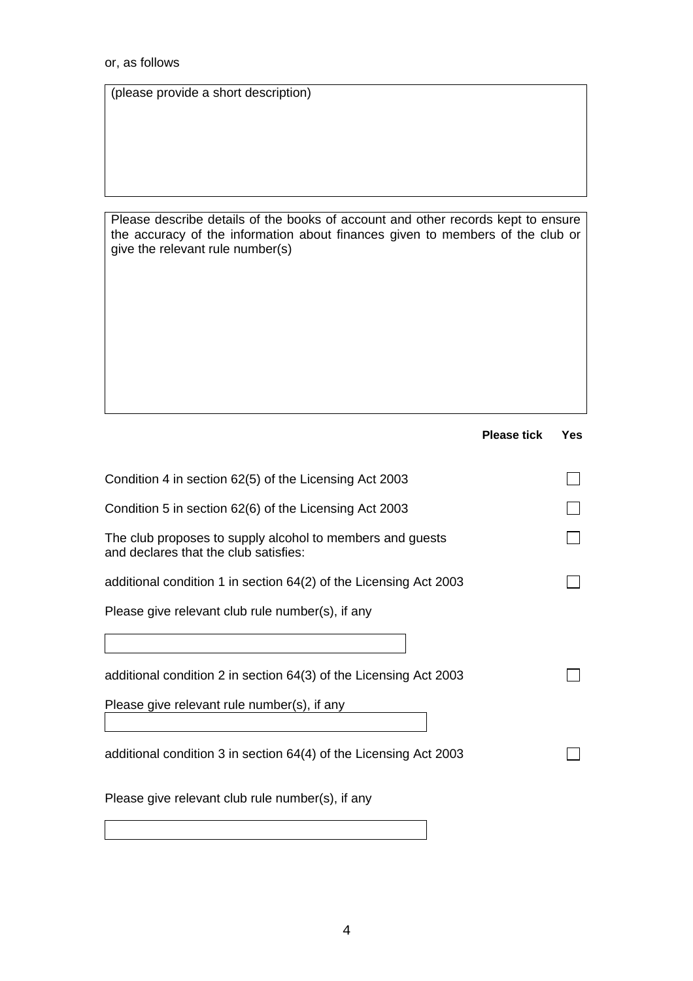(please provide a short description)

Please describe details of the books of account and other records kept to ensure the accuracy of the information about finances given to members of the club or give the relevant rule number(s)

|                                                                                                    | <b>Please tick</b> | <b>Yes</b> |
|----------------------------------------------------------------------------------------------------|--------------------|------------|
| Condition 4 in section 62(5) of the Licensing Act 2003                                             |                    |            |
| Condition 5 in section 62(6) of the Licensing Act 2003                                             |                    |            |
| The club proposes to supply alcohol to members and guests<br>and declares that the club satisfies: |                    |            |
| additional condition 1 in section 64(2) of the Licensing Act 2003                                  |                    |            |
| Please give relevant club rule number(s), if any                                                   |                    |            |
|                                                                                                    |                    |            |
| additional condition 2 in section 64(3) of the Licensing Act 2003                                  |                    |            |
| Please give relevant rule number(s), if any                                                        |                    |            |
| additional condition 3 in section 64(4) of the Licensing Act 2003                                  |                    |            |
| Please give relevant club rule number(s), if any                                                   |                    |            |
|                                                                                                    |                    |            |